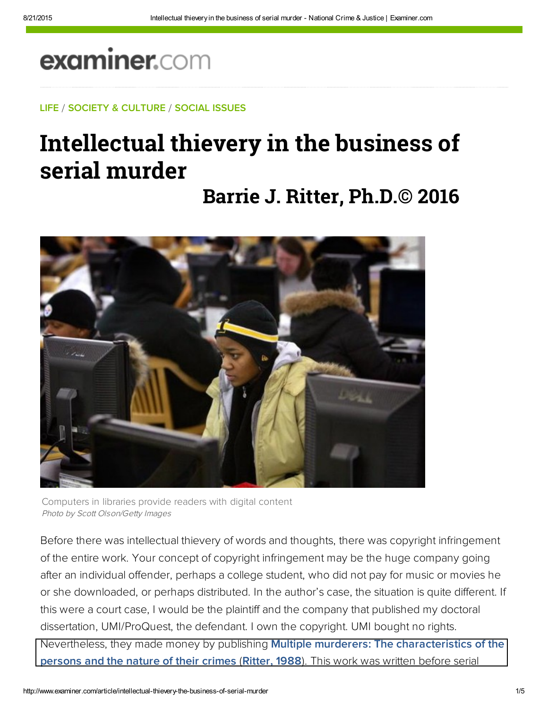## examiner.com

LIFE / SOCIETY & CULTURE / SOCIAL ISSUES

## Intellectual thievery in the business of serial murder

**Barrie J. Ritter, Ph.D.© 2016**



Computers in libraries provide readers with digital content Photo by Scott Olson/Getty Images

Before there was intellectual thievery of words and thoughts, there was copyright infringement of the entire work. Your concept of copyright infringement may be the huge company going after an individual offender, perhaps a college student, who did not pay for music or movies he or she downloaded, or perhaps distributed. In the author's case, the situation is quite different. If this were a court case, I would be the plaintiff and the company that published my doctoral dissertation, UMI/ProQuest, the defendant. I own the copyright. UMI bought no rights. Nevertheless, they made money by publishing **Multiple murderers: The characteristics of the** persons and the nature of their crimes (Ritter, 1988). This work was written before serial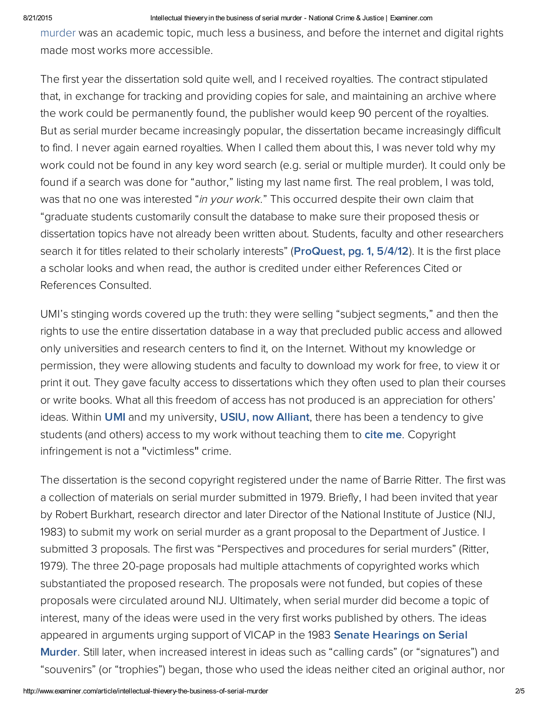## 8/21/2015 **Intellectual thievery in the business of serial murder - National Crime & Justice | Examiner.com**

murder was an academic topic, much less a business, and before the internet and digital rights made most works more accessible.

The first year the dissertation sold quite well, and I received royalties. The contract stipulated that, in exchange for tracking and providing copies for sale, and maintaining an archive where the work could be permanently found, the publisher would keep 90 percent of the royalties. But as serial murder became increasingly popular, the dissertation became increasingly difficult to find. I never again earned royalties. When I called them about this, I was never told why my work could not be found in any key word search (e.g. serial or multiple murder). It could only be found if a search was done for "author," listing my last name first. The real problem, I was told, was that no one was interested "in your work." This occurred despite their own claim that "graduate students customarily consult the database to make sure their proposed thesis or dissertation topics have not already been written about. Students, faculty and other researchers search it for titles related to their scholarly interests" ([ProQuest, pg. 1, 5/4/12](http://bit.ly/ZSNpwG)). It is the first place a scholar looks and when read, the author is credited under either References Cited or References Consulted.

UMI's stinging words covered up the truth: they were selling "subject segments," and then the rights to use the entire dissertation database in a way that precluded public access and allowed only universities and research centers to find it, on the Internet. Without my knowledge or permission, they were allowing students and faculty to download my work for free, to view it or print it out. They gave faculty access to dissertations which they often used to plan their courses or write books. What all this freedom of access has not produced is an appreciation for others' ideas. Within [UMI](http://bit.ly/XPUPF6) and my university, [USIU, now Alliant](http://bit.ly/JDhg7K), there has been a tendency to give students (and others) access to my work without teaching them to cite me. Copyright infringement is not a "victimless" crime.

The dissertation is the second copyright registered under the name of Barrie Ritter. The first was a collection of materials on serial murder submitted in 1979. Briefly, I had been invited that year by Robert Burkhart, research director and later Director of the National Institute of Justice (NIJ, 1983) to submit my work on serial murder as a grant proposal to the Department of Justice. I submitted 3 proposals. The first was "Perspectives and procedures for serial murders" (Ritter, 1979). The three 20-page proposals had multiple attachments of copyrighted works which substantiated the proposed research. The proposals were not funded, but copies of these proposals were circulated around NIJ. Ultimately, when serial murder did become a topic of interest, many of the ideas were used in the very first works published by others. The ideas appeared in arguments urging support of VICAP in the 1983 Senate Hearings on Serial [Murder. Still later, when increased interest in ideas such as "calling cards" \(or "signatures](https://books.google.com/books/about/Serial_murders.html?id=z3SophO-FmwC&hl=en)") and "souvenirs" (or "trophies") began, those who used the ideas neither cited an original author, nor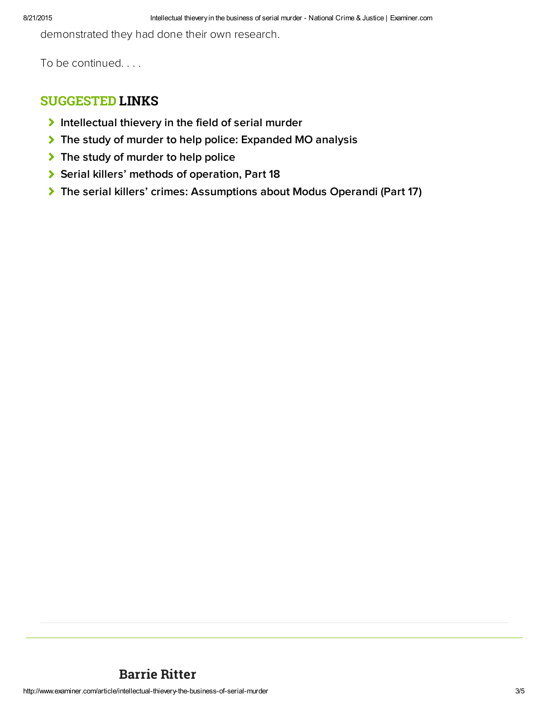demonstrated they had done their own research.

To be continued. . . .

## SUGGESTED LINKS

- $\blacktriangleright$  [Intellectual thievery in the field of serial murder](http://www.ritterhomicideresearch.com/articles/Intellectual-thievery-in-the-field-of-serial-murder.pdf)
- [The study of murder to help police: Expanded MO analysis](http://www.ritterhomicideresearch.com/articles/The-study-of-murder-to-help-police_Expanded-MO-analysis.pdf)
- [The study of murder to help police](http://www.ritterhomicideresearch.com/articles/The-study-of-murder-to-help-police.pdf)
- [Serial killers' methods of operation, Part 18](http://www.ritterhomicideresearch.com/articles/Part-18.pdf)
- ◆ [The serial killers' crimes: Assumptions about Modus Operandi \(Part 17\)](http://www.ritterhomicideresearch.com/articles/Part-17.pdf)